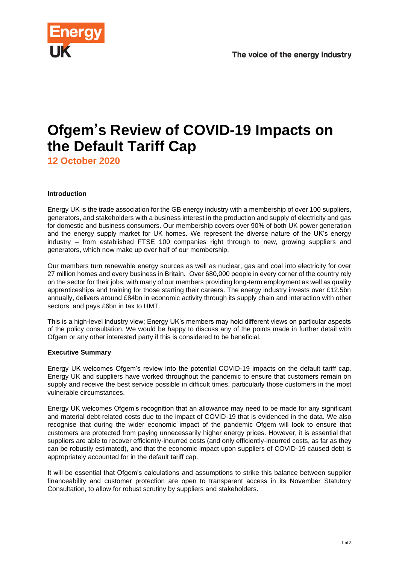

# **Ofgem's Review of COVID-19 Impacts on the Default Tariff Cap**

**12 October 2020**

# **Introduction**

Energy UK is the trade association for the GB energy industry with a membership of over 100 suppliers, generators, and stakeholders with a business interest in the production and supply of electricity and gas for domestic and business consumers. Our membership covers over 90% of both UK power generation and the energy supply market for UK homes. We represent the diverse nature of the UK's energy industry – from established FTSE 100 companies right through to new, growing suppliers and generators, which now make up over half of our membership.

Our members turn renewable energy sources as well as nuclear, gas and coal into electricity for over 27 million homes and every business in Britain. Over 680,000 people in every corner of the country rely on the sector for their jobs, with many of our members providing long-term employment as well as quality apprenticeships and training for those starting their careers. The energy industry invests over £12.5bn annually, delivers around £84bn in economic activity through its supply chain and interaction with other sectors, and pays £6bn in tax to HMT.

This is a high-level industry view; Energy UK's members may hold different views on particular aspects of the policy consultation. We would be happy to discuss any of the points made in further detail with Ofgem or any other interested party if this is considered to be beneficial.

# **Executive Summary**

Energy UK welcomes Ofgem's review into the potential COVID-19 impacts on the default tariff cap. Energy UK and suppliers have worked throughout the pandemic to ensure that customers remain on supply and receive the best service possible in difficult times, particularly those customers in the most vulnerable circumstances.

Energy UK welcomes Ofgem's recognition that an allowance may need to be made for any significant and material debt-related costs due to the impact of COVID-19 that is evidenced in the data. We also recognise that during the wider economic impact of the pandemic Ofgem will look to ensure that customers are protected from paying unnecessarily higher energy prices. However, it is essential that suppliers are able to recover efficiently-incurred costs (and only efficiently-incurred costs, as far as they can be robustly estimated), and that the economic impact upon suppliers of COVID-19 caused debt is appropriately accounted for in the default tariff cap.

It will be essential that Ofgem's calculations and assumptions to strike this balance between supplier financeability and customer protection are open to transparent access in its November Statutory Consultation, to allow for robust scrutiny by suppliers and stakeholders.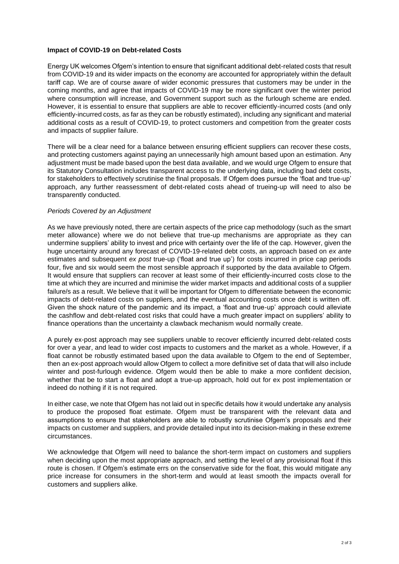### **Impact of COVID-19 on Debt-related Costs**

Energy UK welcomes Ofgem's intention to ensure that significant additional debt-related costs that result from COVID-19 and its wider impacts on the economy are accounted for appropriately within the default tariff cap. We are of course aware of wider economic pressures that customers may be under in the coming months, and agree that impacts of COVID-19 may be more significant over the winter period where consumption will increase, and Government support such as the furlough scheme are ended. However, it is essential to ensure that suppliers are able to recover efficiently-incurred costs (and only efficiently-incurred costs, as far as they can be robustly estimated), including any significant and material additional costs as a result of COVID-19, to protect customers and competition from the greater costs and impacts of supplier failure.

There will be a clear need for a balance between ensuring efficient suppliers can recover these costs, and protecting customers against paying an unnecessarily high amount based upon an estimation. Any adjustment must be made based upon the best data available, and we would urge Ofgem to ensure that its Statutory Consultation includes transparent access to the underlying data, including bad debt costs, for stakeholders to effectively scrutinise the final proposals. If Ofgem does pursue the 'float and true-up' approach, any further reassessment of debt-related costs ahead of trueing-up will need to also be transparently conducted.

## *Periods Covered by an Adjustment*

As we have previously noted, there are certain aspects of the price cap methodology (such as the smart meter allowance) where we do not believe that true-up mechanisms are appropriate as they can undermine suppliers' ability to invest and price with certainty over the life of the cap. However, given the huge uncertainty around any forecast of COVID-19-related debt costs, an approach based on *ex ante* estimates and subsequent *ex post* true-up ('float and true up') for costs incurred in price cap periods four, five and six would seem the most sensible approach if supported by the data available to Ofgem. It would ensure that suppliers can recover at least some of their efficiently-incurred costs close to the time at which they are incurred and minimise the wider market impacts and additional costs of a supplier failure/s as a result. We believe that it will be important for Ofgem to differentiate between the economic impacts of debt-related costs on suppliers, and the eventual accounting costs once debt is written off. Given the shock nature of the pandemic and its impact, a 'float and true-up' approach could alleviate the cashflow and debt-related cost risks that could have a much greater impact on suppliers' ability to finance operations than the uncertainty a clawback mechanism would normally create.

A purely ex-post approach may see suppliers unable to recover efficiently incurred debt-related costs for over a year, and lead to wider cost impacts to customers and the market as a whole. However, if a float cannot be robustly estimated based upon the data available to Ofgem to the end of September, then an ex-post approach would allow Ofgem to collect a more definitive set of data that will also include winter and post-furlough evidence. Ofgem would then be able to make a more confident decision, whether that be to start a float and adopt a true-up approach, hold out for ex post implementation or indeed do nothing if it is not required.

In either case, we note that Ofgem has not laid out in specific details how it would undertake any analysis to produce the proposed float estimate. Ofgem must be transparent with the relevant data and assumptions to ensure that stakeholders are able to robustly scrutinise Ofgem's proposals and their impacts on customer and suppliers, and provide detailed input into its decision-making in these extreme circumstances.

We acknowledge that Ofgem will need to balance the short-term impact on customers and suppliers when deciding upon the most appropriate approach, and setting the level of any provisional float if this route is chosen. If Ofgem's estimate errs on the conservative side for the float, this would mitigate any price increase for consumers in the short-term and would at least smooth the impacts overall for customers and suppliers alike.